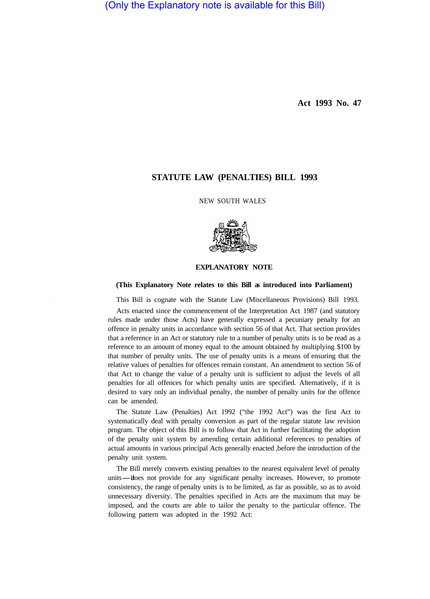(Only the Explanatory note is available for this Bill)

**Act 1993 No. 47** 

## **STATUTE LAW (PENALTIES) BILL 1993**

NEW SOUTH WALES



## **EXPLANATORY NOTE**

## **(This Explanatory Note relates to this Bill as introduced into Parliament)**

This Bill is cognate with the Statute Law (Miscellaneous Provisions) Bill 1993.

Acts enacted since the commencement of the Interpretation Act 1987 (and statutory rules made under those Acts) have generally expressed a pecuniary penalty for an offence in penalty units in accordance with section 56 of that Act. That section provides that a reference in an Act or statutory rule to a number of penalty units is to be read as a reference to an amount of money equal to the amount obtained by multiplying \$100 by that number of penalty units. The use of penalty units is a means of ensuring that the relative values of penalties for offences remain constant. An amendment to section 56 of that Act to change the value of a penalty unit is sufficient to adjust the levels of all penalties for all offences for which penalty units are specified. Alternatively, if it is desired to vary only an individual penalty, the number of penalty units for the offence can be amended.

The Statute Law (Penalties) Act 1992 ("the 1992 Act") was the first Act to systematically deal with penalty conversion as part of the regular statute law revision program. The object of this Bill is to follow that Act in further facilitating the adoption of the penalty unit system by amending certain additional references to penalties of actual amounts in various principal Acts generally enacted ,before the introduction of the penalty unit system.

The Bill merely converts existing penalties to the nearest equivalent level of penalty units-itoes not provide for any significant penalty increases. However, to promote consistency, the range of penalty units is to be limited, as far as possible, so as to avoid unnecessary diversity. The penalties specified in Acts are the maximum that may be imposed, and the courts are able to tailor the penalty to the particular offence. The following pattern was adopted in the 1992 Act: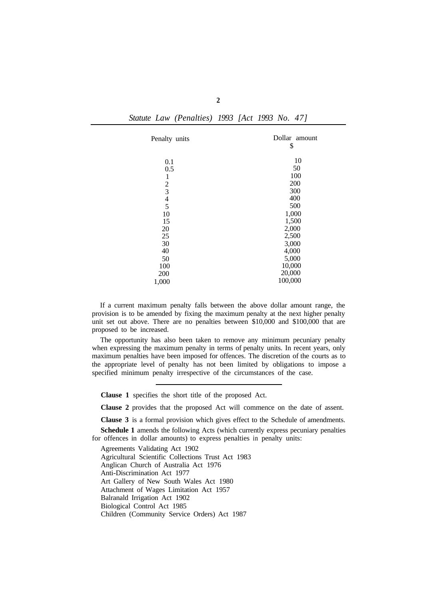| Penalty units | Dollar amount |
|---------------|---------------|
| 0.1           | 10            |
| 0.5           | 50            |
|               | 100           |
| っ             | 200           |
| 3             | 300           |

400 500 1,000 1,500 2,000 2,500 3,000 4,000 5,000 10,000 20,000 100,000

*Statute Law (Penalties) 1993 [Act 1993 No. 47]* 

If a current maximum penalty falls between the above dollar amount range, the provision is to be amended by fixing the maximum penalty at the next higher penalty unit set out above. There are no penalties between \$10,000 and \$100,000 that are proposed to be increased.

The opportunity has also been taken to remove any minimum pecuniary penalty when expressing the maximum penalty in terms of penalty units. In recent years, only maximum penalties have been imposed for offences. The discretion of the courts as to the appropriate level of penalty has not been limited by obligations to impose a specified minimum penalty irrespective of the circumstances of the case.

**Clause 1** specifies the short title of the proposed Act.

**Clause 2** provides that the proposed Act will commence on the date of assent.

**Clause 3** is a formal provision which gives effect to the Schedule of amendments.

**Schedule 1** amends the following Acts (which currently express pecuniary penalties for offences in dollar amounts) to express penalties in penalty units:

Agreements Validating Act 1902 Agricultural Scientific Collections Trust Act 1983 Anglican Church of Australia Act 1976 Anti-Discrimination Act 1977 Art Gallery of New South Wales Act 1980 Attachment of Wages Limitation Act 1957 Balranald Irrigation Act 1902 Biological Control Act 1985 Children (Community Service Orders) Act 1987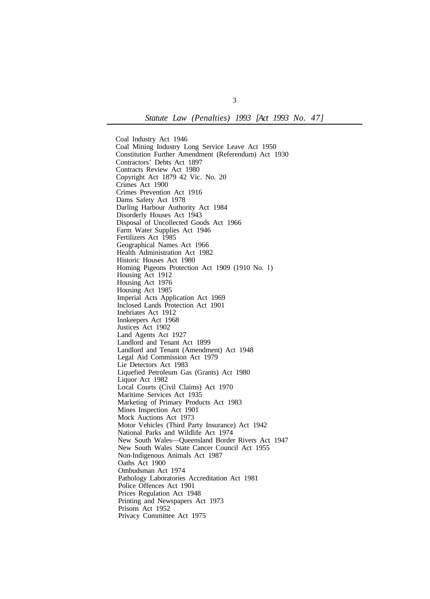*Statute Law (Penalties) 1993 [Act 1993 No. 47]* 

Coal Industry Act 1946 Coal Mining Industry Long Service Leave Act 1950 Constitution Further Amendment (Referendum) Act 1930 Contractors' Debts Act 1897 Contracts Review Act 1980 Copyright Act 1879 42 Vic. No. 20 Crimes Act 1900 Crimes Prevention Act 1916 Dams Safety Act 1978 Darling Harbour Authority Act 1984 Disorderly Houses Act 1943 Disposal of Uncollected Goods Act 1966 Farm Water Supplies Act 1946 Fertilizers Act 1985 Geographical Names Act 1966 Health Administration Act 1982 Historic Houses Act 1980 Homing Pigeons Protection Act 1909 (1910 No. 1) Housing Act 1912 Housing Act 1976 Housing Act 1985 Imperial Acts Application Act 1969 Inclosed Lands Protection Act 1901 Inebriates Act 1912 Innkeepers Act 1968 Justices Act 1902 Land Agents Act 1927 Landlord and Tenant Act 1899 Landlord and Tenant (Amendment) Act 1948 Legal Aid Commission Act 1979 Lie Detectors Act 1983 Liquefied Petroleum Gas (Grants) Act 1980 Liquor Act 1982 Local Courts (Civil Claims) Act 1970 Maritime Services Act 1935 Marketing of Primary Products Act 1983 Mines Inspection Act 1901 Mock Auctions Act 1973 Motor Vehicles (Third Party Insurance) Act 1942 National Parks and Wildlife Act 1974 New South Wales—Queensland Border Rivers Act 1947 New South Wales State Cancer Council Act 1955 Non-Indigenous Animals Act 1987 Oaths Act 1900 Ombudsman Act 1974 Pathology Laboratories Accreditation Act 1981 Police Offences Act 1901 Prices Regulation Act 1948 Printing and Newspapers Act 1973 Prisons Act 1952 Privacy Committee Act 1975